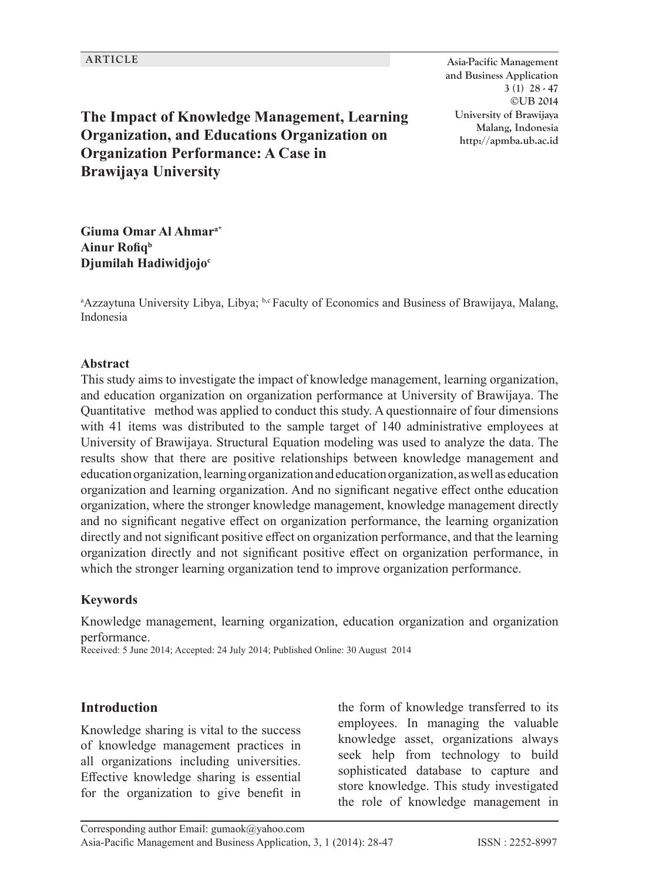**ARTICLE Asia-Pacific Management and Business Application 3 (1) 28 - 47 ©UB 2014 University of Brawijaya Malang, Indonesia http://apmba.ub.ac.id**

**The Impact of Knowledge Management, Learning Organization, and Educations Organization on Organization Performance: A Case in Brawijaya University**

**Giuma Omar Al Ahmara\* Ainur Rofiqb Djumilah Hadiwidjojo<sup>c</sup>**

<sup>a</sup>Azzaytuna University Libya, Libya; b,c Faculty of Economics and Business of Brawijaya, Malang, Indonesia

#### **Abstract**

This study aims to investigate the impact of knowledge management, learning organization, and education organization on organization performance at University of Brawijaya. The Quantitative method was applied to conduct this study. A questionnaire of four dimensions with 41 items was distributed to the sample target of 140 administrative employees at University of Brawijaya. Structural Equation modeling was used to analyze the data. The results show that there are positive relationships between knowledge management and education organization, learning organization and education organization, as well as education organization and learning organization. And no significant negative effect onthe education organization, where the stronger knowledge management, knowledge management directly and no significant negative effect on organization performance, the learning organization directly and not significant positive effect on organization performance, and that the learning organization directly and not significant positive effect on organization performance, in which the stronger learning organization tend to improve organization performance.

#### **Keywords**

Knowledge management, learning organization, education organization and organization performance.

Received: 5 June 2014; Accepted: 24 July 2014; Published Online: 30 August 2014

#### **Introduction**

Knowledge sharing is vital to the success of knowledge management practices in all organizations including universities. Effective knowledge sharing is essential for the organization to give benefit in the form of knowledge transferred to its employees. In managing the valuable knowledge asset, organizations always seek help from technology to build sophisticated database to capture and store knowledge. This study investigated the role of knowledge management in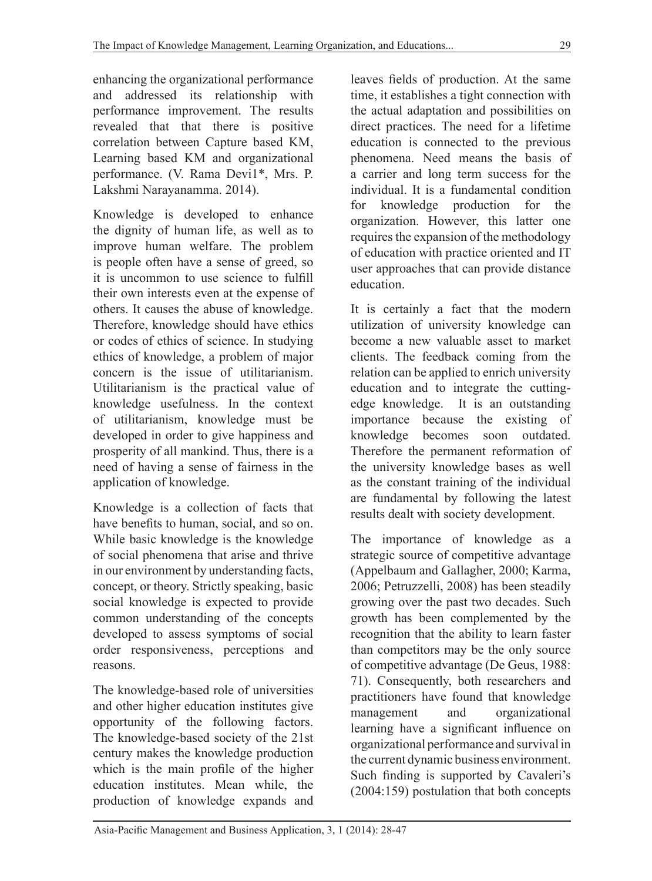enhancing the organizational performance and addressed its relationship with performance improvement. The results revealed that that there is positive correlation between Capture based KM, Learning based KM and organizational performance. (V. Rama Devi1\*, Mrs. P. Lakshmi Narayanamma. 2014).

Knowledge is developed to enhance the dignity of human life, as well as to improve human welfare. The problem is people often have a sense of greed, so it is uncommon to use science to fulfill their own interests even at the expense of others. It causes the abuse of knowledge. Therefore, knowledge should have ethics or codes of ethics of science. In studying ethics of knowledge, a problem of major concern is the issue of utilitarianism. Utilitarianism is the practical value of knowledge usefulness. In the context of utilitarianism, knowledge must be developed in order to give happiness and prosperity of all mankind. Thus, there is a need of having a sense of fairness in the application of knowledge.

Knowledge is a collection of facts that have benefits to human, social, and so on. While basic knowledge is the knowledge of social phenomena that arise and thrive in our environment by understanding facts, concept, or theory. Strictly speaking, basic social knowledge is expected to provide common understanding of the concepts developed to assess symptoms of social order responsiveness, perceptions and reasons.

The knowledge-based role of universities and other higher education institutes give opportunity of the following factors. The knowledge-based society of the 21st century makes the knowledge production which is the main profile of the higher education institutes. Mean while, the production of knowledge expands and leaves fields of production. At the same time, it establishes a tight connection with the actual adaptation and possibilities on direct practices. The need for a lifetime education is connected to the previous phenomena. Need means the basis of a carrier and long term success for the individual. It is a fundamental condition for knowledge production for the organization. However, this latter one requires the expansion of the methodology of education with practice oriented and IT user approaches that can provide distance education.

It is certainly a fact that the modern utilization of university knowledge can become a new valuable asset to market clients. The feedback coming from the relation can be applied to enrich university education and to integrate the cuttingedge knowledge. It is an outstanding importance because the existing of knowledge becomes soon outdated. Therefore the permanent reformation of the university knowledge bases as well as the constant training of the individual are fundamental by following the latest results dealt with society development.

The importance of knowledge as a strategic source of competitive advantage (Appelbaum and Gallagher, 2000; Karma, 2006; Petruzzelli, 2008) has been steadily growing over the past two decades. Such growth has been complemented by the recognition that the ability to learn faster than competitors may be the only source of competitive advantage (De Geus, 1988: 71). Consequently, both researchers and practitioners have found that knowledge management and organizational learning have a significant influence on organizational performance and survival in the current dynamic business environment. Such finding is supported by Cavaleri's (2004:159) postulation that both concepts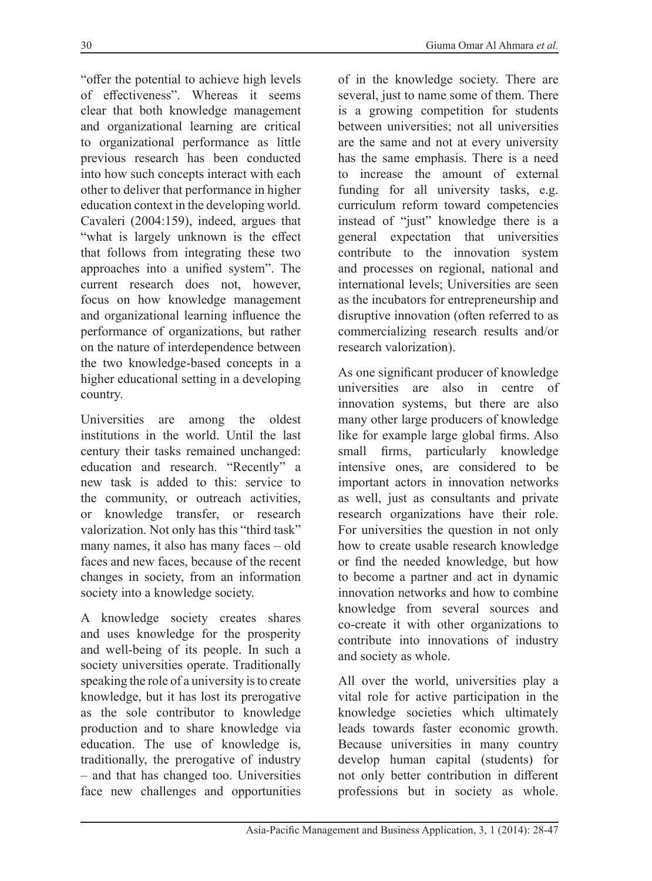"offer the potential to achieve high levels of effectiveness". Whereas it seems clear that both knowledge management and organizational learning are critical to organizational performance as little previous research has been conducted into how such concepts interact with each other to deliver that performance in higher education context in the developing world. Cavaleri (2004:159), indeed, argues that "what is largely unknown is the effect that follows from integrating these two approaches into a unified system". The current research does not, however, focus on how knowledge management and organizational learning influence the performance of organizations, but rather on the nature of interdependence between the two knowledge-based concepts in a higher educational setting in a developing country.

Universities are among the oldest institutions in the world. Until the last century their tasks remained unchanged: education and research. "Recently" a new task is added to this: service to the community, or outreach activities, or knowledge transfer, or research valorization. Not only has this "third task" many names, it also has many faces – old faces and new faces, because of the recent changes in society, from an information society into a knowledge society.

A knowledge society creates shares and uses knowledge for the prosperity and well-being of its people. In such a society universities operate. Traditionally speaking the role of a university is to create knowledge, but it has lost its prerogative as the sole contributor to knowledge production and to share knowledge via education. The use of knowledge is, traditionally, the prerogative of industry – and that has changed too. Universities face new challenges and opportunities

of in the knowledge society. There are several, just to name some of them. There is a growing competition for students between universities; not all universities are the same and not at every university has the same emphasis. There is a need to increase the amount of external funding for all university tasks, e.g. curriculum reform toward competencies instead of "just" knowledge there is a general expectation that universities contribute to the innovation system and processes on regional, national and international levels; Universities are seen as the incubators for entrepreneurship and disruptive innovation (often referred to as commercializing research results and/or research valorization).

As one significant producer of knowledge universities are also in centre of innovation systems, but there are also many other large producers of knowledge like for example large global firms. Also small firms, particularly knowledge intensive ones, are considered to be important actors in innovation networks as well, just as consultants and private research organizations have their role. For universities the question in not only how to create usable research knowledge or find the needed knowledge, but how to become a partner and act in dynamic innovation networks and how to combine knowledge from several sources and co-create it with other organizations to contribute into innovations of industry and society as whole.

All over the world, universities play a vital role for active participation in the knowledge societies which ultimately leads towards faster economic growth. Because universities in many country develop human capital (students) for not only better contribution in different professions but in society as whole.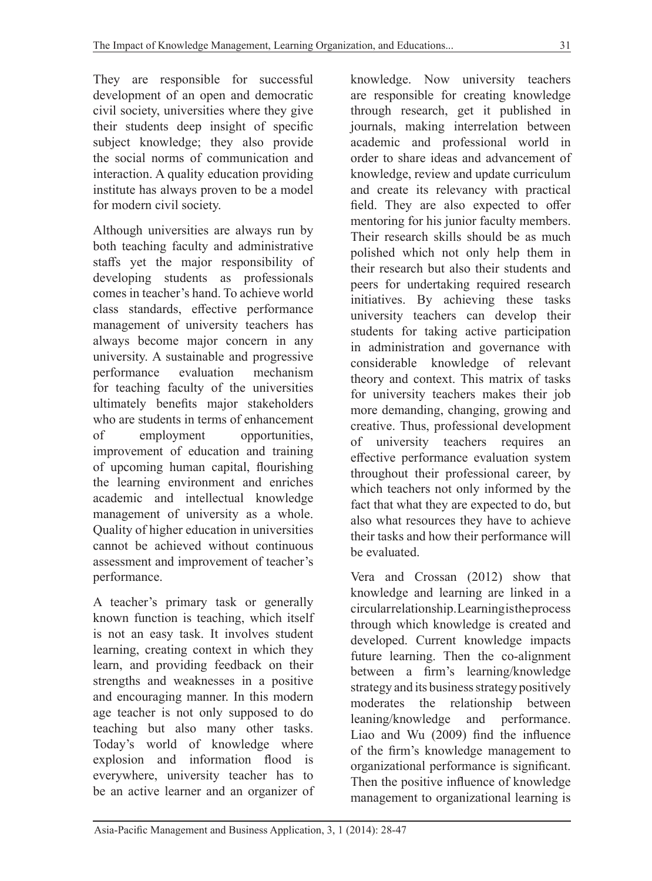They are responsible for successful development of an open and democratic civil society, universities where they give their students deep insight of specific subject knowledge; they also provide the social norms of communication and interaction. A quality education providing institute has always proven to be a model for modern civil society.

Although universities are always run by both teaching faculty and administrative staffs yet the major responsibility of developing students as professionals comes in teacher's hand. To achieve world class standards, effective performance management of university teachers has always become major concern in any university. A sustainable and progressive<br>performance evaluation mechanism performance evaluation mechanism for teaching faculty of the universities ultimately benefits major stakeholders who are students in terms of enhancement of employment opportunities, improvement of education and training of upcoming human capital, flourishing the learning environment and enriches academic and intellectual knowledge management of university as a whole. Quality of higher education in universities cannot be achieved without continuous assessment and improvement of teacher's performance.

A teacher's primary task or generally known function is teaching, which itself is not an easy task. It involves student learning, creating context in which they learn, and providing feedback on their strengths and weaknesses in a positive and encouraging manner. In this modern age teacher is not only supposed to do teaching but also many other tasks. Today's world of knowledge where explosion and information flood is everywhere, university teacher has to be an active learner and an organizer of

knowledge. Now university teachers are responsible for creating knowledge through research, get it published in journals, making interrelation between academic and professional world in order to share ideas and advancement of knowledge, review and update curriculum and create its relevancy with practical field. They are also expected to offer mentoring for his junior faculty members. Their research skills should be as much polished which not only help them in their research but also their students and peers for undertaking required research initiatives. By achieving these tasks university teachers can develop their students for taking active participation in administration and governance with considerable knowledge of relevant theory and context. This matrix of tasks for university teachers makes their job more demanding, changing, growing and creative. Thus, professional development of university teachers requires an effective performance evaluation system throughout their professional career, by which teachers not only informed by the fact that what they are expected to do, but also what resources they have to achieve their tasks and how their performance will be evaluated.

Vera and Crossan (2012) show that knowledge and learning are linked in a circular relationship. Learning is the process through which knowledge is created and developed. Current knowledge impacts future learning. Then the co-alignment between a firm's learning/knowledge strategy and its business strategy positively moderates the relationship between leaning/knowledge and performance. Liao and Wu (2009) find the influence of the firm's knowledge management to organizational performance is significant. Then the positive influence of knowledge management to organizational learning is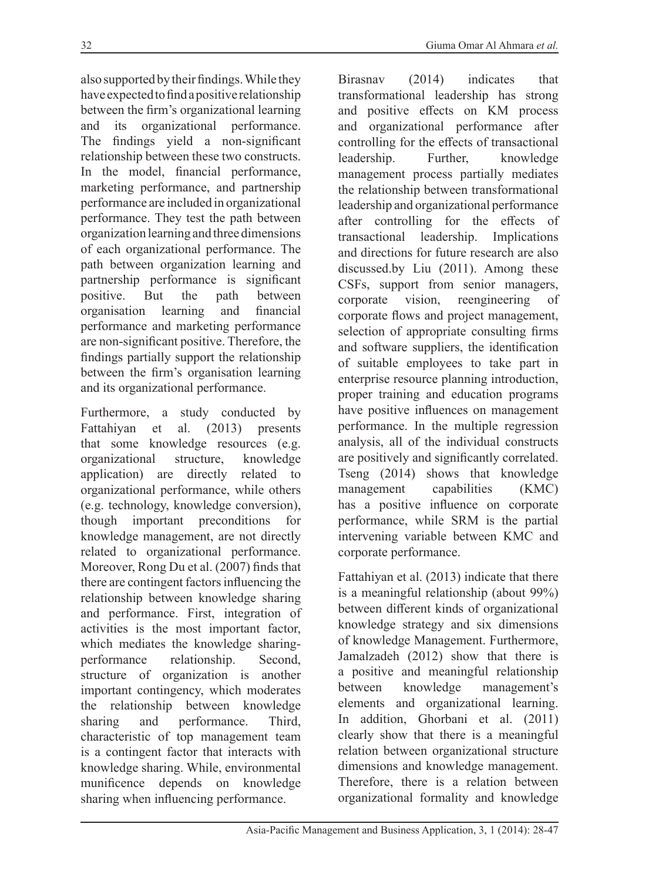also supported by their findings. While they have expected to find a positive relationship between the firm's organizational learning and its organizational performance. The findings yield a non-significant relationship between these two constructs. In the model, financial performance, marketing performance, and partnership performance are included in organizational performance. They test the path between organization learning and three dimensions of each organizational performance. The path between organization learning and partnership performance is significant positive. But the path between organisation learning and financial performance and marketing performance are non-significant positive. Therefore, the findings partially support the relationship between the firm's organisation learning and its organizational performance.

Furthermore, a study conducted by Fattahiyan et al. (2013) presents that some knowledge resources (e.g. organizational structure, knowledge application) are directly related to organizational performance, while others (e.g. technology, knowledge conversion), though important preconditions for knowledge management, are not directly related to organizational performance. Moreover, Rong Du et al. (2007) finds that there are contingent factors influencing the relationship between knowledge sharing and performance. First, integration of activities is the most important factor, which mediates the knowledge sharingperformance relationship. Second, structure of organization is another important contingency, which moderates the relationship between knowledge sharing and performance. Third, characteristic of top management team is a contingent factor that interacts with knowledge sharing. While, environmental munificence depends on knowledge sharing when influencing performance.

Birasnav (2014) indicates that transformational leadership has strong and positive effects on KM process and organizational performance after controlling for the effects of transactional leadership. Further, knowledge management process partially mediates the relationship between transformational leadership and organizational performance after controlling for the effects of transactional leadership. Implications and directions for future research are also discussed.by Liu (2011). Among these CSFs, support from senior managers, corporate vision, reengineering of corporate flows and project management, selection of appropriate consulting firms and software suppliers, the identification of suitable employees to take part in enterprise resource planning introduction, proper training and education programs have positive influences on management performance. In the multiple regression analysis, all of the individual constructs are positively and significantly correlated. Tseng (2014) shows that knowledge management capabilities (KMC) has a positive influence on corporate performance, while SRM is the partial intervening variable between KMC and corporate performance.

Fattahiyan et al. (2013) indicate that there is a meaningful relationship (about 99%) between different kinds of organizational knowledge strategy and six dimensions of knowledge Management. Furthermore, Jamalzadeh (2012) show that there is a positive and meaningful relationship between knowledge management's elements and organizational learning. In addition, Ghorbani et al. (2011) clearly show that there is a meaningful relation between organizational structure dimensions and knowledge management. Therefore, there is a relation between organizational formality and knowledge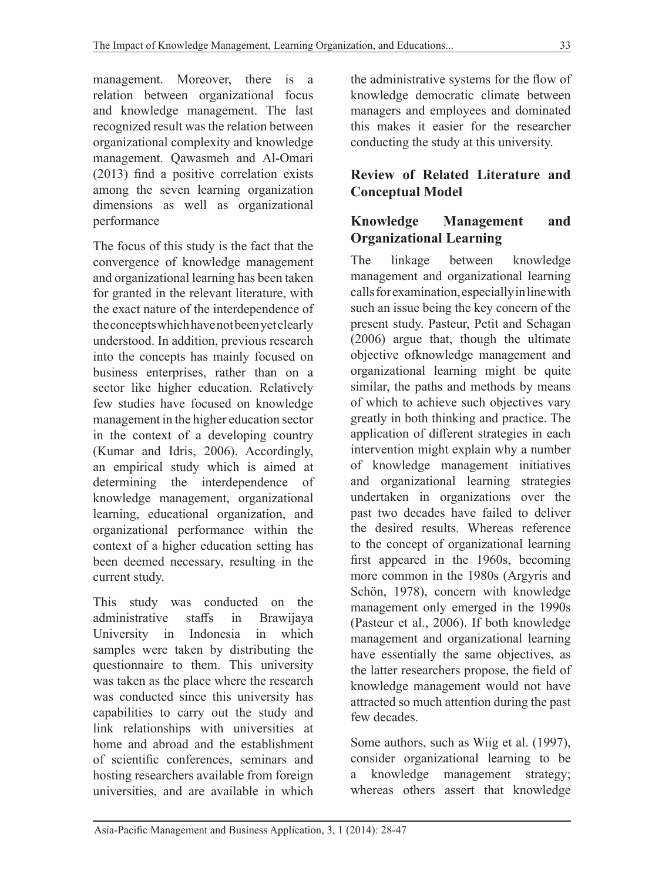management. Moreover, there is a relation between organizational focus and knowledge management. The last recognized result was the relation between organizational complexity and knowledge management. Qawasmeh and Al-Omari (2013) find a positive correlation exists among the seven learning organization dimensions as well as organizational performance

The focus of this study is the fact that the convergence of knowledge management and organizational learning has been taken for granted in the relevant literature, with the exact nature of the interdependence of the concepts which have not been yet clearly understood. In addition, previous research into the concepts has mainly focused on business enterprises, rather than on a sector like higher education. Relatively few studies have focused on knowledge management in the higher education sector in the context of a developing country (Kumar and Idris, 2006). Accordingly, an empirical study which is aimed at determining the interdependence of knowledge management, organizational learning, educational organization, and organizational performance within the context of a higher education setting has been deemed necessary, resulting in the current study.

This study was conducted on the administrative staffs in Brawijaya University in Indonesia in which samples were taken by distributing the questionnaire to them. This university was taken as the place where the research was conducted since this university has capabilities to carry out the study and link relationships with universities at home and abroad and the establishment of scientific conferences, seminars and hosting researchers available from foreign universities, and are available in which

the administrative systems for the flow of knowledge democratic climate between managers and employees and dominated this makes it easier for the researcher conducting the study at this university.

## **Review of Related Literature and Conceptual Model**

#### **Knowledge Management and Organizational Learning**

The linkage between knowledge management and organizational learning calls for examination, especially in line with such an issue being the key concern of the present study. Pasteur, Petit and Schagan (2006) argue that, though the ultimate objective ofknowledge management and organizational learning might be quite similar, the paths and methods by means of which to achieve such objectives vary greatly in both thinking and practice. The application of different strategies in each intervention might explain why a number of knowledge management initiatives and organizational learning strategies undertaken in organizations over the past two decades have failed to deliver the desired results. Whereas reference to the concept of organizational learning first appeared in the 1960s, becoming more common in the 1980s (Argyris and Schön, 1978), concern with knowledge management only emerged in the 1990s (Pasteur et al., 2006). If both knowledge management and organizational learning have essentially the same objectives, as the latter researchers propose, the field of knowledge management would not have attracted so much attention during the past few decades.

Some authors, such as Wiig et al. (1997), consider organizational learning to be a knowledge management strategy; whereas others assert that knowledge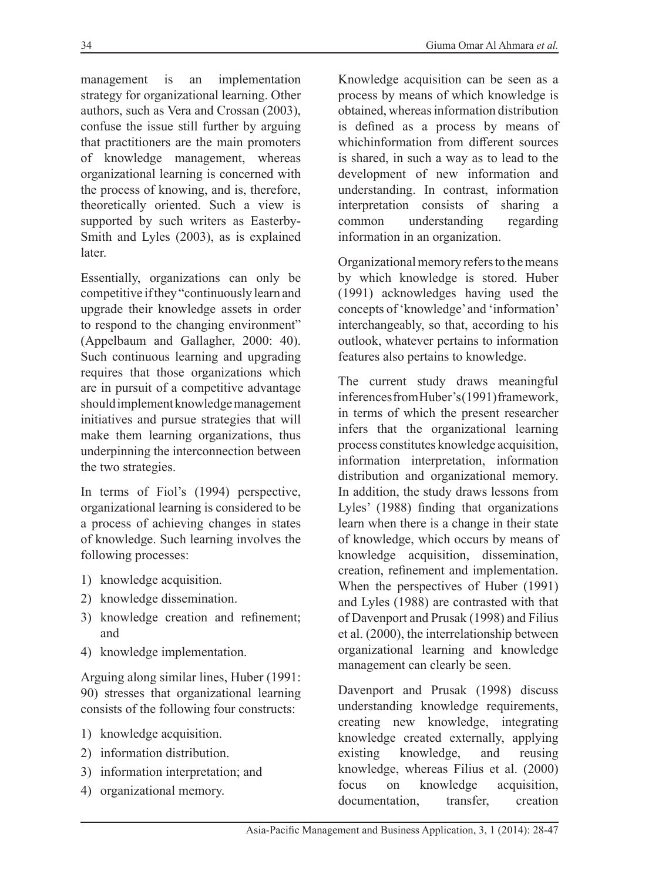management is an implementation strategy for organizational learning. Other authors, such as Vera and Crossan (2003), confuse the issue still further by arguing that practitioners are the main promoters of knowledge management, whereas organizational learning is concerned with the process of knowing, and is, therefore, theoretically oriented. Such a view is supported by such writers as Easterby-Smith and Lyles (2003), as is explained later.

Essentially, organizations can only be competitive if they "continuously learn and upgrade their knowledge assets in order to respond to the changing environment" (Appelbaum and Gallagher, 2000: 40). Such continuous learning and upgrading requires that those organizations which are in pursuit of a competitive advantage should implement knowledge management initiatives and pursue strategies that will make them learning organizations, thus underpinning the interconnection between the two strategies.

In terms of Fiol's (1994) perspective, organizational learning is considered to be a process of achieving changes in states of knowledge. Such learning involves the following processes:

- 1) knowledge acquisition.
- 2) knowledge dissemination.
- 3) knowledge creation and refinement; and
- 4) knowledge implementation.

Arguing along similar lines, Huber (1991: 90) stresses that organizational learning consists of the following four constructs:

- 1) knowledge acquisition.
- 2) information distribution.
- 3) information interpretation; and
- 4) organizational memory.

Knowledge acquisition can be seen as a process by means of which knowledge is obtained, whereas information distribution is defined as a process by means of whichinformation from different sources is shared, in such a way as to lead to the development of new information and understanding. In contrast, information interpretation consists of sharing a common understanding regarding information in an organization.

Organizational memory refers to the means by which knowledge is stored. Huber (1991) acknowledges having used the concepts of 'knowledge' and 'information' interchangeably, so that, according to his outlook, whatever pertains to information features also pertains to knowledge.

The current study draws meaningful inferences from Huber's (1991) framework, in terms of which the present researcher infers that the organizational learning process constitutes knowledge acquisition, information interpretation, information distribution and organizational memory. In addition, the study draws lessons from Lyles' (1988) finding that organizations learn when there is a change in their state of knowledge, which occurs by means of knowledge acquisition, dissemination, creation, refinement and implementation. When the perspectives of Huber (1991) and Lyles (1988) are contrasted with that of Davenport and Prusak (1998) and Filius et al. (2000), the interrelationship between organizational learning and knowledge management can clearly be seen.

Davenport and Prusak (1998) discuss understanding knowledge requirements, creating new knowledge, integrating knowledge created externally, applying existing knowledge, and reusing knowledge, whereas Filius et al. (2000) focus on knowledge acquisition, documentation, transfer, creation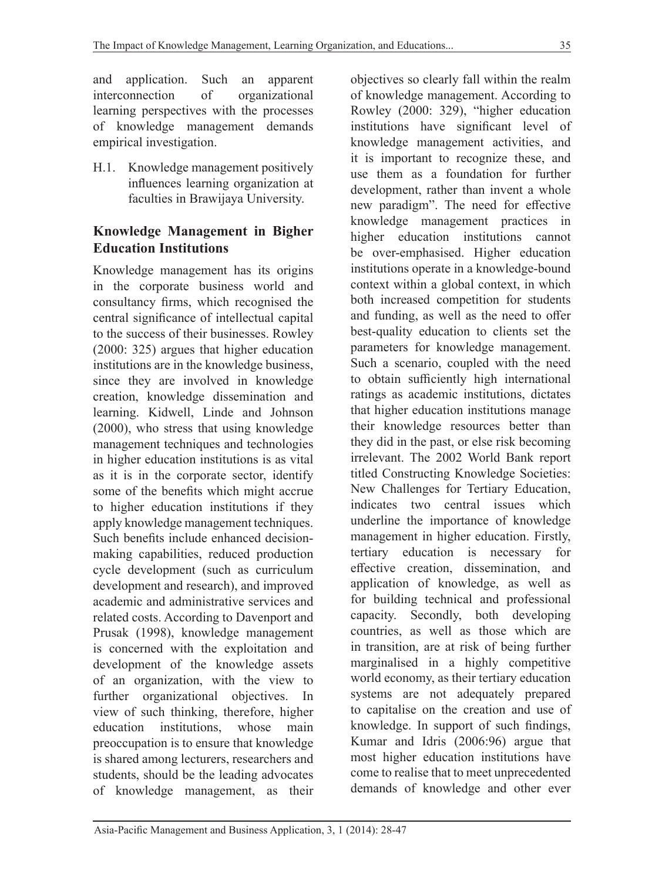and application. Such an apparent interconnection of organizational learning perspectives with the processes of knowledge management demands empirical investigation.

H.1. Knowledge management positively influences learning organization at faculties in Brawijaya University.

#### **Knowledge Management in Bigher Education Institutions**

Knowledge management has its origins in the corporate business world and consultancy firms, which recognised the central significance of intellectual capital to the success of their businesses. Rowley (2000: 325) argues that higher education institutions are in the knowledge business, since they are involved in knowledge creation, knowledge dissemination and learning. Kidwell, Linde and Johnson (2000), who stress that using knowledge management techniques and technologies in higher education institutions is as vital as it is in the corporate sector, identify some of the benefits which might accrue to higher education institutions if they apply knowledge management techniques. Such benefits include enhanced decisionmaking capabilities, reduced production cycle development (such as curriculum development and research), and improved academic and administrative services and related costs. According to Davenport and Prusak (1998), knowledge management is concerned with the exploitation and development of the knowledge assets of an organization, with the view to further organizational objectives. In view of such thinking, therefore, higher education institutions, whose main preoccupation is to ensure that knowledge is shared among lecturers, researchers and students, should be the leading advocates of knowledge management, as their

objectives so clearly fall within the realm of knowledge management. According to Rowley (2000: 329), "higher education institutions have significant level of knowledge management activities, and it is important to recognize these, and use them as a foundation for further development, rather than invent a whole new paradigm". The need for effective knowledge management practices in higher education institutions cannot be over-emphasised. Higher education institutions operate in a knowledge-bound context within a global context, in which both increased competition for students and funding, as well as the need to offer best-quality education to clients set the parameters for knowledge management. Such a scenario, coupled with the need to obtain sufficiently high international ratings as academic institutions, dictates that higher education institutions manage their knowledge resources better than they did in the past, or else risk becoming irrelevant. The 2002 World Bank report titled Constructing Knowledge Societies: New Challenges for Tertiary Education, indicates two central issues which underline the importance of knowledge management in higher education. Firstly, tertiary education is necessary for effective creation, dissemination, and application of knowledge, as well as for building technical and professional capacity. Secondly, both developing countries, as well as those which are in transition, are at risk of being further marginalised in a highly competitive world economy, as their tertiary education systems are not adequately prepared to capitalise on the creation and use of knowledge. In support of such findings, Kumar and Idris (2006:96) argue that most higher education institutions have come to realise that to meet unprecedented demands of knowledge and other ever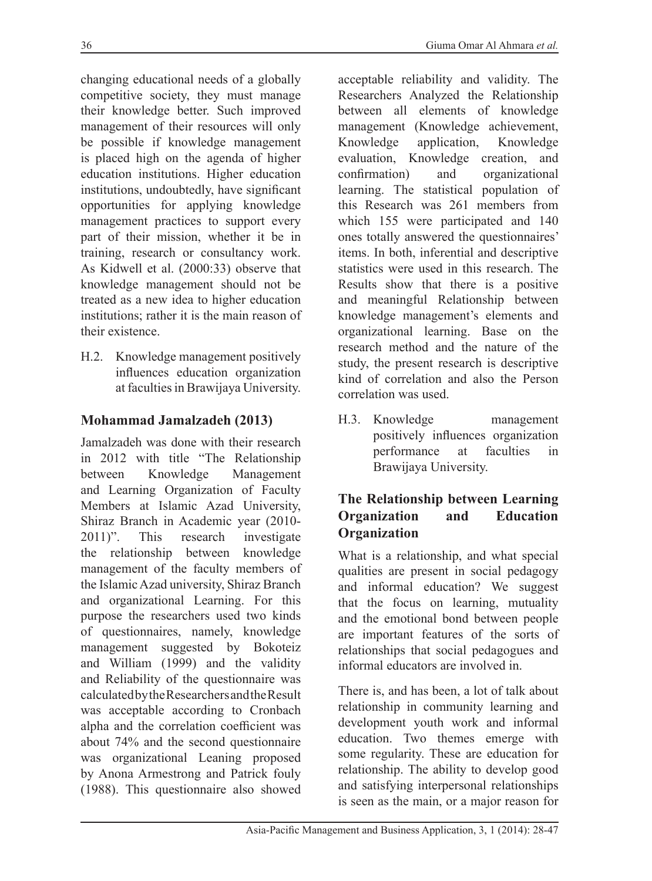changing educational needs of a globally competitive society, they must manage their knowledge better. Such improved management of their resources will only be possible if knowledge management is placed high on the agenda of higher education institutions. Higher education institutions, undoubtedly, have significant opportunities for applying knowledge management practices to support every part of their mission, whether it be in training, research or consultancy work. As Kidwell et al. (2000:33) observe that knowledge management should not be treated as a new idea to higher education institutions; rather it is the main reason of their existence.

H.2. Knowledge management positively influences education organization at faculties in Brawijaya University.

#### **Mohammad Jamalzadeh (2013)**

Jamalzadeh was done with their research in 2012 with title "The Relationship between Knowledge Management and Learning Organization of Faculty Members at Islamic Azad University, Shiraz Branch in Academic year (2010- 2011)". This research investigate the relationship between knowledge management of the faculty members of the Islamic Azad university, Shiraz Branch and organizational Learning. For this purpose the researchers used two kinds of questionnaires, namely, knowledge management suggested by Bokoteiz and William (1999) and the validity and Reliability of the questionnaire was calculated by the Researchers and the Result was acceptable according to Cronbach alpha and the correlation coefficient was about 74% and the second questionnaire was organizational Leaning proposed by Anona Armestrong and Patrick fouly (1988). This questionnaire also showed

acceptable reliability and validity. The Researchers Analyzed the Relationship between all elements of knowledge management (Knowledge achievement, Knowledge application, Knowledge evaluation, Knowledge creation, and confirmation) and organizational learning. The statistical population of this Research was 261 members from which 155 were participated and 140 ones totally answered the questionnaires' items. In both, inferential and descriptive statistics were used in this research. The Results show that there is a positive and meaningful Relationship between knowledge management's elements and organizational learning. Base on the research method and the nature of the study, the present research is descriptive kind of correlation and also the Person correlation was used.

H.3. Knowledge management positively influences organization performance at faculties in Brawijaya University.

# **The Relationship between Learning Organization and Education Organization**

What is a relationship, and what special qualities are present in social pedagogy and informal education? We suggest that the focus on learning, mutuality and the emotional bond between people are important features of the sorts of relationships that social pedagogues and informal educators are involved in.

There is, and has been, a lot of talk about relationship in community learning and development youth work and informal education. Two themes emerge with some regularity. These are education for relationship. The ability to develop good and satisfying interpersonal relationships is seen as the main, or a major reason for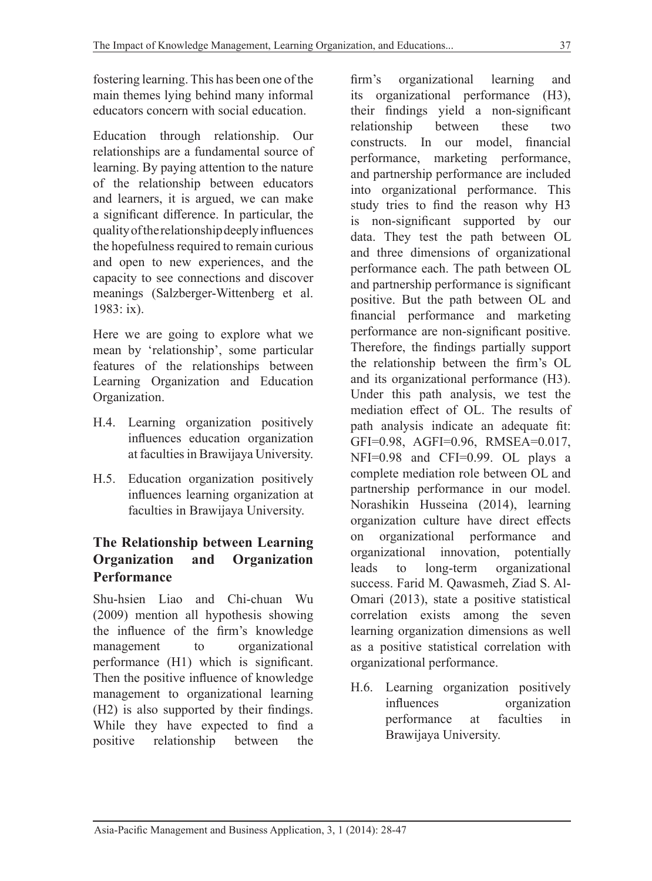fostering learning. This has been one of the main themes lying behind many informal educators concern with social education.

Education through relationship. Our relationships are a fundamental source of learning. By paying attention to the nature of the relationship between educators and learners, it is argued, we can make a significant difference. In particular, the quality of the relationship deeply influences the hopefulness required to remain curious and open to new experiences, and the capacity to see connections and discover meanings (Salzberger-Wittenberg et al. 1983: ix).

Here we are going to explore what we mean by 'relationship', some particular features of the relationships between Learning Organization and Education Organization.

- H.4. Learning organization positively influences education organization at faculties in Brawijaya University.
- H.5. Education organization positively influences learning organization at faculties in Brawijaya University.

## **The Relationship between Learning Organization and Organization Performance**

Shu-hsien Liao and Chi-chuan Wu (2009) mention all hypothesis showing the influence of the firm's knowledge management to organizational performance (H1) which is significant. Then the positive influence of knowledge management to organizational learning (H2) is also supported by their findings. While they have expected to find a positive relationship between the firm's organizational learning and its organizational performance (H3), their findings yield a non-significant relationship between these two constructs. In our model, financial performance, marketing performance, and partnership performance are included into organizational performance. This study tries to find the reason why H3 is non-significant supported by our data. They test the path between OL and three dimensions of organizational performance each. The path between OL and partnership performance is significant positive. But the path between OL and financial performance and marketing performance are non-significant positive. Therefore, the findings partially support the relationship between the firm's OL and its organizational performance (H3). Under this path analysis, we test the mediation effect of OL. The results of path analysis indicate an adequate fit: GFI=0.98, AGFI=0.96, RMSEA=0.017, NFI=0.98 and CFI=0.99. OL plays a complete mediation role between OL and partnership performance in our model. Norashikin Husseina (2014), learning organization culture have direct effects on organizational performance and organizational innovation, potentially leads to long-term organizational success. Farid M. Qawasmeh, Ziad S. Al-Omari (2013), state a positive statistical correlation exists among the seven learning organization dimensions as well as a positive statistical correlation with organizational performance.

H.6. Learning organization positively influences organization performance at faculties in Brawijaya University.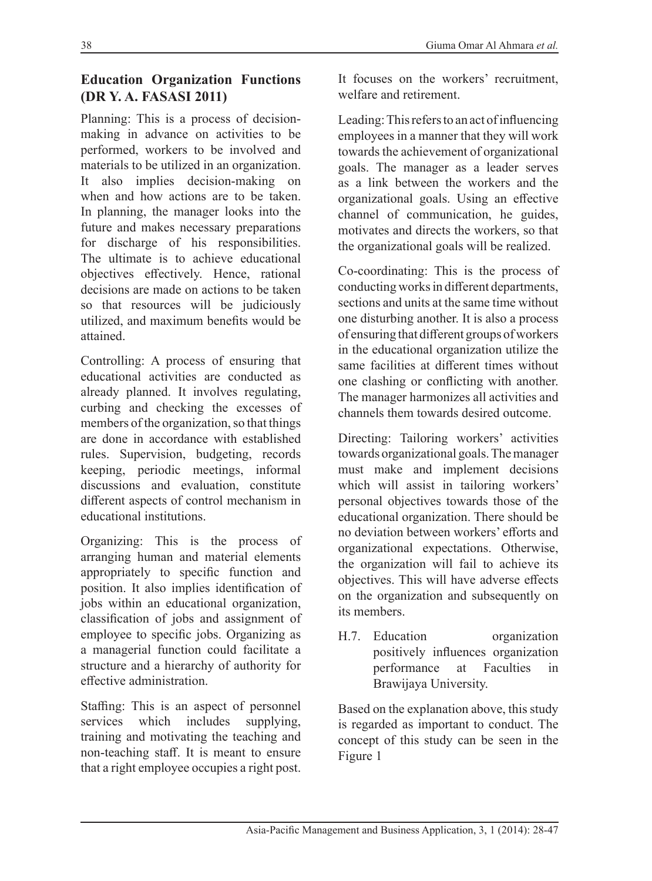#### **Education Organization Functions (DR Y. A. FASASI 2011)**

Planning: This is a process of decisionmaking in advance on activities to be performed, workers to be involved and materials to be utilized in an organization. It also implies decision-making on when and how actions are to be taken. In planning, the manager looks into the future and makes necessary preparations for discharge of his responsibilities. The ultimate is to achieve educational objectives effectively. Hence, rational decisions are made on actions to be taken so that resources will be judiciously utilized, and maximum benefits would be attained.

Controlling: A process of ensuring that educational activities are conducted as already planned. It involves regulating, curbing and checking the excesses of members of the organization, so that things are done in accordance with established rules. Supervision, budgeting, records keeping, periodic meetings, informal discussions and evaluation, constitute different aspects of control mechanism in educational institutions.

Organizing: This is the process of arranging human and material elements appropriately to specific function and position. It also implies identification of jobs within an educational organization, classification of jobs and assignment of employee to specific jobs. Organizing as a managerial function could facilitate a structure and a hierarchy of authority for effective administration.

Staffing: This is an aspect of personnel services which includes supplying, training and motivating the teaching and non-teaching staff. It is meant to ensure that a right employee occupies a right post.

It focuses on the workers' recruitment, welfare and retirement.

Leading: This refers to an act of influencing employees in a manner that they will work towards the achievement of organizational goals. The manager as a leader serves as a link between the workers and the organizational goals. Using an effective channel of communication, he guides, motivates and directs the workers, so that the organizational goals will be realized.

Co-coordinating: This is the process of conducting works in different departments, sections and units at the same time without one disturbing another. It is also a process of ensuring that different groups of workers in the educational organization utilize the same facilities at different times without one clashing or conflicting with another. The manager harmonizes all activities and channels them towards desired outcome.

Directing: Tailoring workers' activities towards organizational goals. The manager must make and implement decisions which will assist in tailoring workers' personal objectives towards those of the educational organization. There should be no deviation between workers' efforts and organizational expectations. Otherwise, the organization will fail to achieve its objectives. This will have adverse effects on the organization and subsequently on its members.

H.7. Education organization positively influences organization performance at Faculties in Brawijaya University.

Based on the explanation above, this study is regarded as important to conduct. The concept of this study can be seen in the Figure 1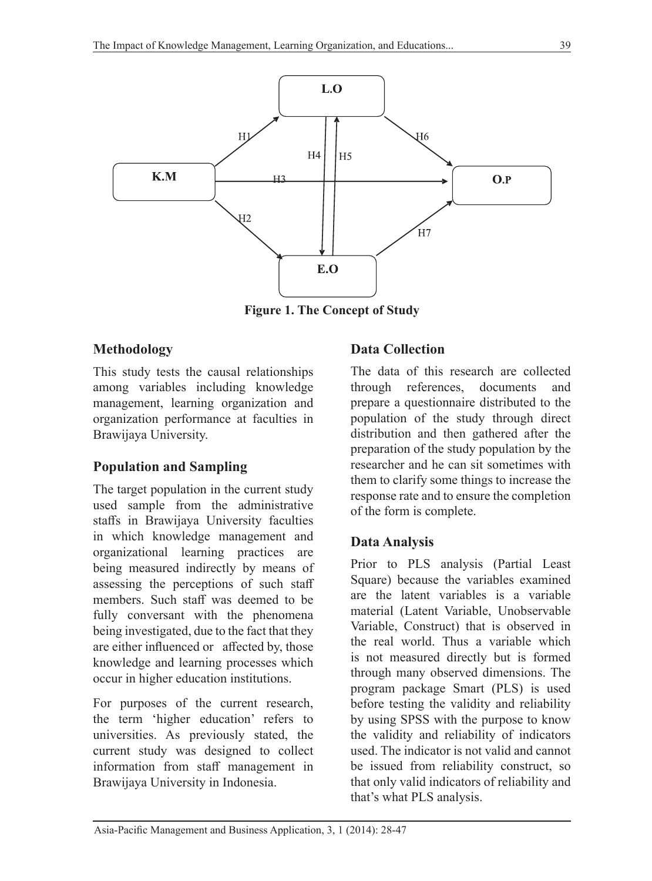

**Figure 1. The Concept of Study**

#### **Methodology**

This study tests the causal relationships among variables including knowledge management, learning organization and organization performance at faculties in Brawijaya University.

#### **Population and Sampling**

The target population in the current study used sample from the administrative staffs in Brawijaya University faculties in which knowledge management and organizational learning practices are being measured indirectly by means of assessing the perceptions of such staff members. Such staff was deemed to be fully conversant with the phenomena being investigated, due to the fact that they are either influenced or affected by, those knowledge and learning processes which occur in higher education institutions.

For purposes of the current research, the term 'higher education' refers to universities. As previously stated, the current study was designed to collect information from staff management in Brawijaya University in Indonesia.

#### **Data Collection**

The data of this research are collected through references, documents and prepare a questionnaire distributed to the population of the study through direct distribution and then gathered after the preparation of the study population by the researcher and he can sit sometimes with them to clarify some things to increase the response rate and to ensure the completion of the form is complete.

#### **Data Analysis**

Prior to PLS analysis (Partial Least Square) because the variables examined are the latent variables is a variable material (Latent Variable, Unobservable Variable, Construct) that is observed in the real world. Thus a variable which is not measured directly but is formed through many observed dimensions. The program package Smart (PLS) is used before testing the validity and reliability by using SPSS with the purpose to know the validity and reliability of indicators used. The indicator is not valid and cannot be issued from reliability construct, so that only valid indicators of reliability and that's what PLS analysis.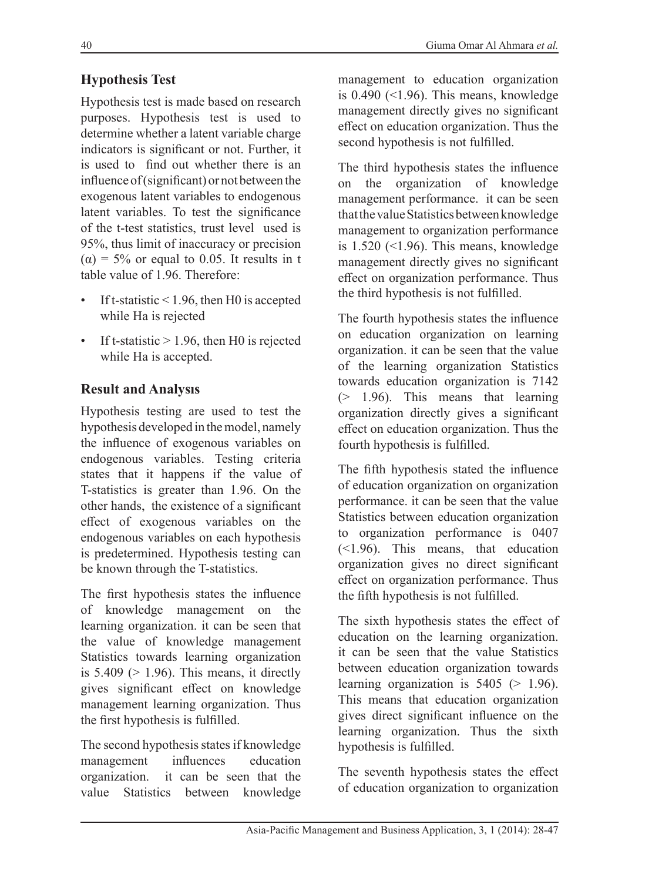# **Hypothesis Test**

Hypothesis test is made based on research purposes. Hypothesis test is used to determine whether a latent variable charge indicators is significant or not. Further, it is used to find out whether there is an influence of (significant) or not between the exogenous latent variables to endogenous latent variables. To test the significance of the t-test statistics, trust level used is 95%, thus limit of inaccuracy or precision  $(\alpha)$  = 5% or equal to 0.05. It results in t table value of 1.96. Therefore:

- If t-statistic  $\leq 1.96$ , then H0 is accepted while Ha is rejected
- If t-statistic  $> 1.96$ , then H0 is rejected while Ha is accepted.

## **Result and Analysıs**

Hypothesis testing are used to test the hypothesis developed in the model, namely the influence of exogenous variables on endogenous variables. Testing criteria states that it happens if the value of T-statistics is greater than 1.96. On the other hands, the existence of a significant effect of exogenous variables on the endogenous variables on each hypothesis is predetermined. Hypothesis testing can be known through the T-statistics.

The first hypothesis states the influence of knowledge management on the learning organization. it can be seen that the value of knowledge management Statistics towards learning organization is  $5.409$  ( $> 1.96$ ). This means, it directly gives significant effect on knowledge management learning organization. Thus the first hypothesis is fulfilled.

The second hypothesis states if knowledge management influences education organization. it can be seen that the value Statistics between knowledge management to education organization is  $0.490$  (<1.96). This means, knowledge management directly gives no significant effect on education organization. Thus the second hypothesis is not fulfilled.

The third hypothesis states the influence on the organization of knowledge management performance. it can be seen that the value Statistics between knowledge management to organization performance is  $1.520$  (<1.96). This means, knowledge management directly gives no significant effect on organization performance. Thus the third hypothesis is not fulfilled.

The fourth hypothesis states the influence on education organization on learning organization. it can be seen that the value of the learning organization Statistics towards education organization is 7142 (> 1.96). This means that learning organization directly gives a significant effect on education organization. Thus the fourth hypothesis is fulfilled.

The fifth hypothesis stated the influence of education organization on organization performance. it can be seen that the value Statistics between education organization to organization performance is 0407 (<1.96). This means, that education organization gives no direct significant effect on organization performance. Thus the fifth hypothesis is not fulfilled.

The sixth hypothesis states the effect of education on the learning organization. it can be seen that the value Statistics between education organization towards learning organization is  $5405$  ( $> 1.96$ ). This means that education organization gives direct significant influence on the learning organization. Thus the sixth hypothesis is fulfilled.

The seventh hypothesis states the effect of education organization to organization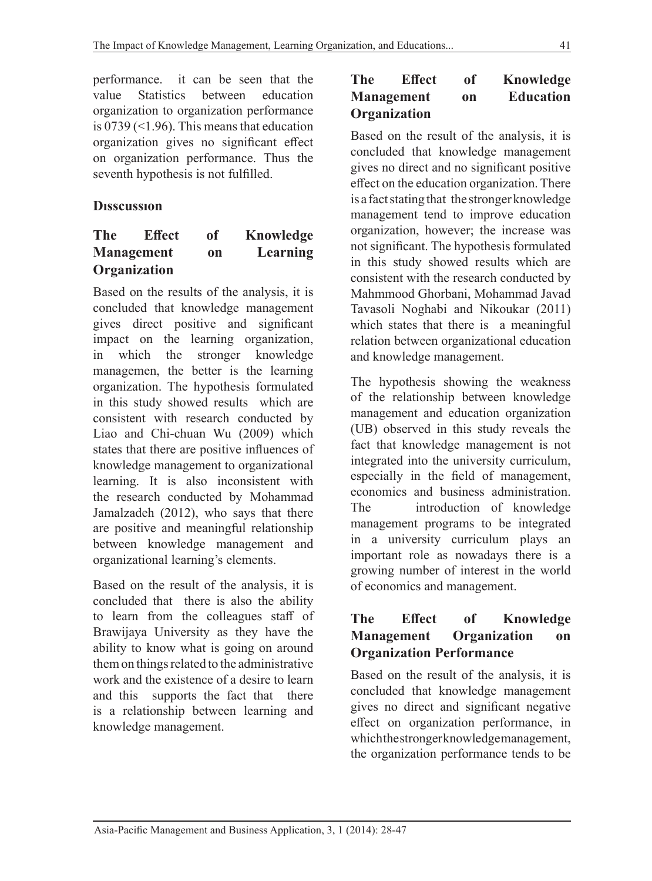performance. it can be seen that the value Statistics between education organization to organization performance is  $0739$  (<1.96). This means that education organization gives no significant effect on organization performance. Thus the seventh hypothesis is not fulfilled.

## **Dısscussıon**

#### **The Effect of Knowledge Management on Learning Organization**

Based on the results of the analysis, it is concluded that knowledge management gives direct positive and significant impact on the learning organization, in which the stronger knowledge managemen, the better is the learning organization. The hypothesis formulated in this study showed results which are consistent with research conducted by Liao and Chi-chuan Wu (2009) which states that there are positive influences of knowledge management to organizational learning. It is also inconsistent with the research conducted by Mohammad Jamalzadeh (2012), who says that there are positive and meaningful relationship between knowledge management and organizational learning's elements.

Based on the result of the analysis, it is concluded that there is also the ability to learn from the colleagues staff of Brawijaya University as they have the ability to know what is going on around them on things related to the administrative work and the existence of a desire to learn and this supports the fact that there is a relationship between learning and knowledge management.

#### **The Effect of Knowledge Management on Education Organization**

Based on the result of the analysis, it is concluded that knowledge management gives no direct and no significant positive effect on the education organization. There is a fact stating that the stronger knowledge management tend to improve education organization, however; the increase was not significant. The hypothesis formulated in this study showed results which are consistent with the research conducted by Mahmmood Ghorbani, Mohammad Javad Tavasoli Noghabi and Nikoukar (2011) which states that there is a meaningful relation between organizational education and knowledge management.

The hypothesis showing the weakness of the relationship between knowledge management and education organization (UB) observed in this study reveals the fact that knowledge management is not integrated into the university curriculum, especially in the field of management, economics and business administration. The introduction of knowledge management programs to be integrated in a university curriculum plays an important role as nowadays there is a growing number of interest in the world of economics and management.

#### **The Effect of Knowledge Management Organization on Organization Performance**

Based on the result of the analysis, it is concluded that knowledge management gives no direct and significant negative effect on organization performance, in which the stronger knowledge management, the organization performance tends to be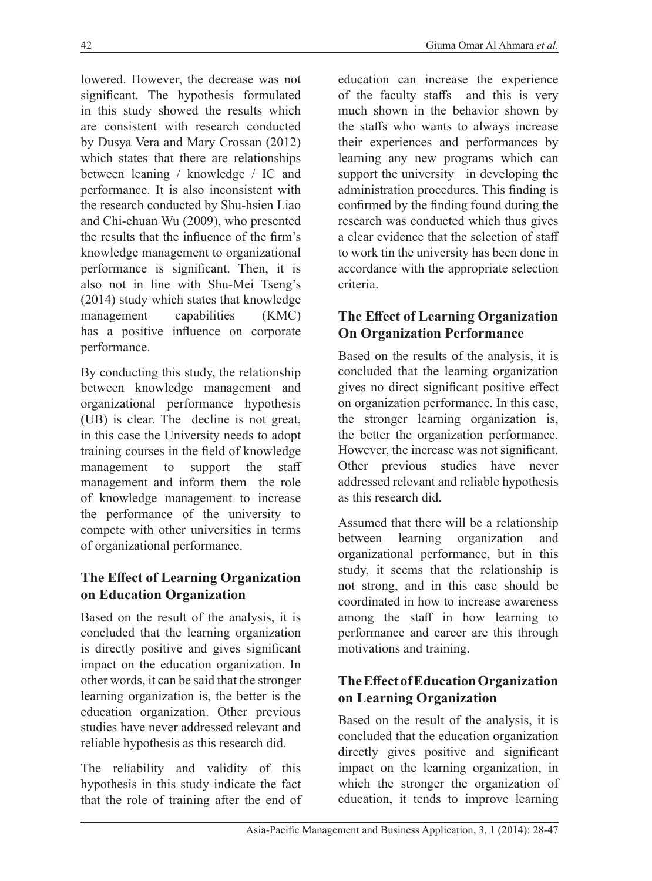lowered. However, the decrease was not significant. The hypothesis formulated in this study showed the results which are consistent with research conducted by Dusya Vera and Mary Crossan (2012) which states that there are relationships between leaning / knowledge / IC and performance. It is also inconsistent with the research conducted by Shu-hsien Liao and Chi-chuan Wu (2009), who presented the results that the influence of the firm's knowledge management to organizational performance is significant. Then, it is also not in line with Shu-Mei Tseng's (2014) study which states that knowledge management capabilities (KMC) has a positive influence on corporate performance.

By conducting this study, the relationship between knowledge management and organizational performance hypothesis (UB) is clear. The decline is not great, in this case the University needs to adopt training courses in the field of knowledge management to support the staff management and inform them the role of knowledge management to increase the performance of the university to compete with other universities in terms of organizational performance.

#### **The Effect of Learning Organization on Education Organization**

Based on the result of the analysis, it is concluded that the learning organization is directly positive and gives significant impact on the education organization. In other words, it can be said that the stronger learning organization is, the better is the education organization. Other previous studies have never addressed relevant and reliable hypothesis as this research did.

The reliability and validity of this hypothesis in this study indicate the fact that the role of training after the end of

education can increase the experience of the faculty staffs and this is very much shown in the behavior shown by the staffs who wants to always increase their experiences and performances by learning any new programs which can support the university in developing the administration procedures. This finding is confirmed by the finding found during the research was conducted which thus gives a clear evidence that the selection of staff to work tin the university has been done in accordance with the appropriate selection criteria.

## **The Effect of Learning Organization On Organization Performance**

Based on the results of the analysis, it is concluded that the learning organization gives no direct significant positive effect on organization performance. In this case, the stronger learning organization is, the better the organization performance. However, the increase was not significant. Other previous studies have never addressed relevant and reliable hypothesis as this research did.

Assumed that there will be a relationship between learning organization and organizational performance, but in this study, it seems that the relationship is not strong, and in this case should be coordinated in how to increase awareness among the staff in how learning to performance and career are this through motivations and training.

# **The Effect of Education Organization on Learning Organization**

Based on the result of the analysis, it is concluded that the education organization directly gives positive and significant impact on the learning organization, in which the stronger the organization of education, it tends to improve learning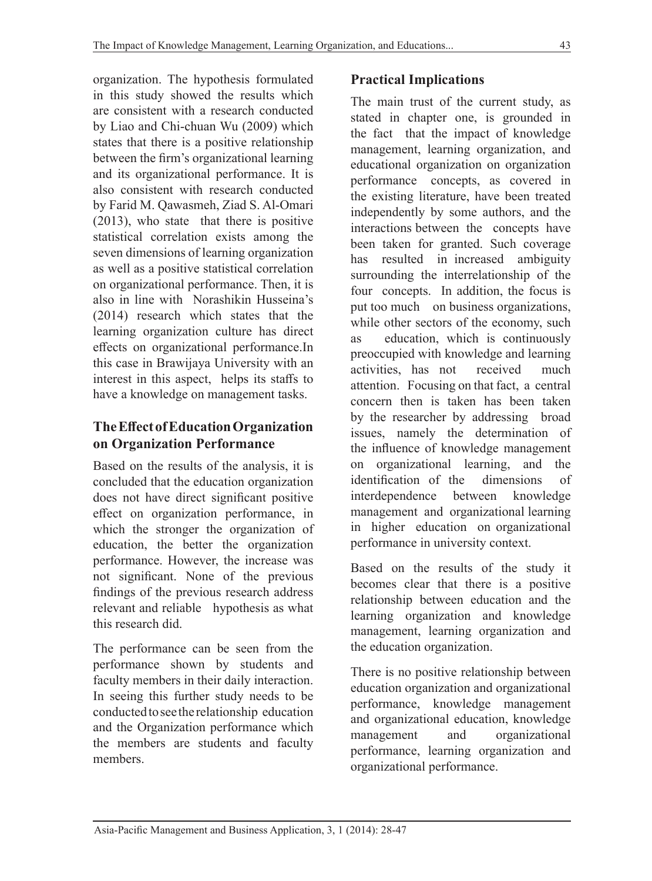organization. The hypothesis formulated in this study showed the results which are consistent with a research conducted by Liao and Chi-chuan Wu (2009) which states that there is a positive relationship between the firm's organizational learning and its organizational performance. It is also consistent with research conducted by Farid M. Qawasmeh, Ziad S. Al-Omari (2013), who state that there is positive statistical correlation exists among the seven dimensions of learning organization as well as a positive statistical correlation on organizational performance. Then, it is also in line with Norashikin Husseina's (2014) research which states that the learning organization culture has direct effects on organizational performance.In this case in Brawijaya University with an interest in this aspect, helps its staffs to have a knowledge on management tasks.

## **The Effect of Education Organization on Organization Performance**

Based on the results of the analysis, it is concluded that the education organization does not have direct significant positive effect on organization performance, in which the stronger the organization of education, the better the organization performance. However, the increase was not significant. None of the previous findings of the previous research address relevant and reliable hypothesis as what this research did.

The performance can be seen from the performance shown by students and faculty members in their daily interaction. In seeing this further study needs to be conducted to see the relationship education and the Organization performance which the members are students and faculty members.

# **Practical Implications**

The main trust of the current study, as stated in chapter one, is grounded in the fact that the impact of knowledge management, learning organization, and educational organization on organization performance concepts, as covered in the existing literature, have been treated independently by some authors, and the interactions between the concepts have been taken for granted. Such coverage has resulted in increased ambiguity surrounding the interrelationship of the four concepts. In addition, the focus is put too much on business organizations, while other sectors of the economy, such as education, which is continuously preoccupied with knowledge and learning activities, has not received much attention. Focusing on that fact, a central concern then is taken has been taken by the researcher by addressing broad issues, namely the determination of the influence of knowledge management on organizational learning, and the identification of the dimensions of interdependence between knowledge management and organizational learning in higher education on organizational performance in university context.

Based on the results of the study it becomes clear that there is a positive relationship between education and the learning organization and knowledge management, learning organization and the education organization.

There is no positive relationship between education organization and organizational performance, knowledge management and organizational education, knowledge management and organizational performance, learning organization and organizational performance.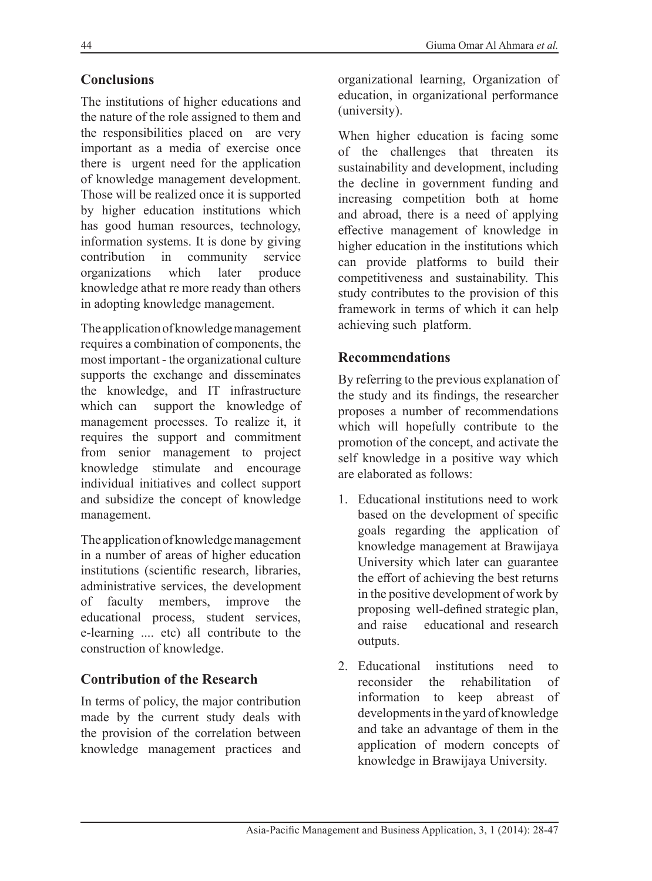## **Conclusions**

The institutions of higher educations and the nature of the role assigned to them and the responsibilities placed on are very important as a media of exercise once there is urgent need for the application of knowledge management development. Those will be realized once it is supported by higher education institutions which has good human resources, technology, information systems. It is done by giving contribution in community service organizations which later produce knowledge athat re more ready than others in adopting knowledge management.

The application of knowledge management requires a combination of components, the most important - the organizational culture supports the exchange and disseminates the knowledge, and IT infrastructure which can support the knowledge of management processes. To realize it, it requires the support and commitment from senior management to project knowledge stimulate and encourage individual initiatives and collect support and subsidize the concept of knowledge management.

The application of knowledge management in a number of areas of higher education institutions (scientific research, libraries, administrative services, the development of faculty members, improve the educational process, student services, e-learning .... etc) all contribute to the construction of knowledge.

#### **Contribution of the Research**

In terms of policy, the major contribution made by the current study deals with the provision of the correlation between knowledge management practices and

When higher education is facing some of the challenges that threaten its sustainability and development, including the decline in government funding and increasing competition both at home and abroad, there is a need of applying effective management of knowledge in higher education in the institutions which can provide platforms to build their competitiveness and sustainability. This study contributes to the provision of this framework in terms of which it can help achieving such platform.

#### **Recommendations**

By referring to the previous explanation of the study and its findings, the researcher proposes a number of recommendations which will hopefully contribute to the promotion of the concept, and activate the self knowledge in a positive way which are elaborated as follows:

- 1. Educational institutions need to work based on the development of specific goals regarding the application of knowledge management at Brawijaya University which later can guarantee the effort of achieving the best returns in the positive development of work by proposing well-defined strategic plan, and raise educational and research outputs.
- 2. Educational institutions need to reconsider the rehabilitation of information to keep abreast of developments in the yard of knowledge and take an advantage of them in the application of modern concepts of knowledge in Brawijaya University.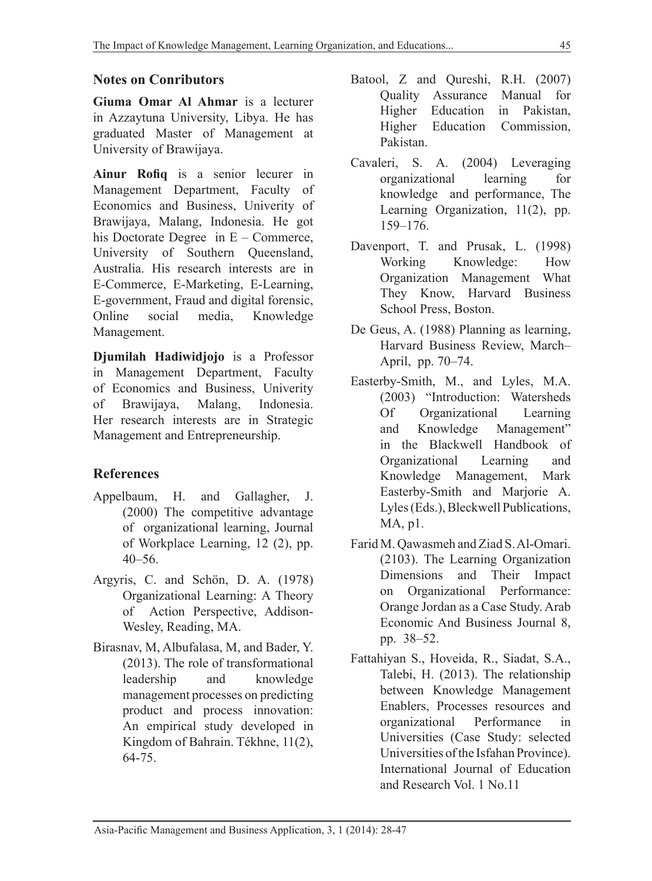#### **Notes on Conributors**

**Giuma Omar Al Ahmar** is a lecturer in Azzaytuna University, Libya. He has graduated Master of Management at University of Brawijaya.

**Ainur Rofiq** is a senior lecurer in Management Department, Faculty of Economics and Business, Univerity of Brawijaya, Malang, Indonesia. He got his Doctorate Degree in E – Commerce, University of Southern Queensland, Australia. His research interests are in E-Commerce, E-Marketing, E-Learning, E-government, Fraud and digital forensic, Online social media, Knowledge Management.

**Djumilah Hadiwidjojo** is a Professor in Management Department, Faculty of Economics and Business, Univerity of Brawijaya, Malang, Indonesia. Her research interests are in Strategic Management and Entrepreneurship.

#### **References**

- Appelbaum, H. and Gallagher, J. (2000) The competitive advantage of organizational learning, Journal of Workplace Learning, 12 (2), pp. 40–56.
- Argyris, C. and Schön, D. A. (1978) Organizational Learning: A Theory of Action Perspective, Addison-Wesley, Reading, MA.
- Birasnav, M, Albufalasa, M, and Bader, Y. (2013). The role of transformational leadership and knowledge management processes on predicting product and process innovation: An empirical study developed in Kingdom of Bahrain. Tékhne, 11(2), 64-75.
- Batool, Z and Qureshi, R.H. (2007) Quality Assurance Manual for Higher Education in Pakistan,<br>Higher Education Commission. Education Commission, Pakistan.
- Cavaleri, S. A. (2004) Leveraging organizational learning for knowledge and performance, The Learning Organization, 11(2), pp. 159–176.
- Davenport, T. and Prusak, L. (1998) Working Knowledge: How Organization Management What They Know, Harvard Business School Press, Boston.
- De Geus, A. (1988) Planning as learning, Harvard Business Review, March– April, pp. 70–74.
- Easterby-Smith, M., and Lyles, M.A. (2003) "Introduction: Watersheds Of Organizational Learning<br>and Knowledge Management" and Knowledge Management" in the Blackwell Handbook of Organizational Learning and Knowledge Management, Mark Easterby-Smith and Marjorie A. Lyles (Eds.), Bleckwell Publications, MA, p1.
- Farid M. Qawasmeh and Ziad S. Al-Omari. (2103). The Learning Organization Dimensions and Their Impact on Organizational Performance: Orange Jordan as a Case Study. Arab Economic And Business Journal 8, pp. 38–52.
- Fattahiyan S., Hoveida, R., Siadat, S.A., Talebi, H. (2013). The relationship between Knowledge Management Enablers, Processes resources and organizational Performance in Universities (Case Study: selected Universities of the Isfahan Province). International Journal of Education and Research Vol. 1 No.11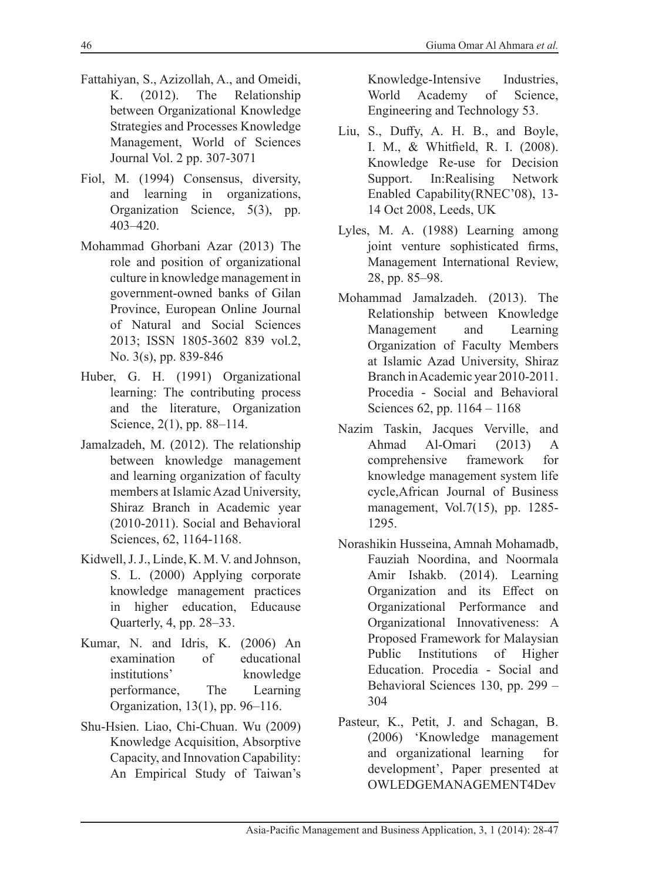- Fattahiyan, S., Azizollah, A., and Omeidi, K. (2012). The Relationship between Organizational Knowledge Strategies and Processes Knowledge Management, World of Sciences Journal Vol. 2 pp. 307-3071
- Fiol, M. (1994) Consensus, diversity, and learning in organizations, Organization Science, 5(3), pp. 403–420.
- Mohammad Ghorbani Azar (2013) The role and position of organizational culture in knowledge management in government-owned banks of Gilan Province, European Online Journal of Natural and Social Sciences 2013; ISSN 1805-3602 839 vol.2, No. 3(s), pp. 839-846
- Huber, G. H. (1991) Organizational learning: The contributing process and the literature, Organization Science, 2(1), pp. 88–114.
- Jamalzadeh, M. (2012). The relationship between knowledge management and learning organization of faculty members at Islamic Azad University, Shiraz Branch in Academic year (2010-2011). Social and Behavioral Sciences, 62, 1164-1168.
- Kidwell, J. J., Linde, K. M. V. and Johnson, S. L. (2000) Applying corporate knowledge management practices in higher education, Educause Quarterly, 4, pp. 28–33.
- Kumar, N. and Idris, K. (2006) An examination of educational institutions' knowledge performance, The Learning Organization, 13(1), pp. 96–116.
- Shu-Hsien. Liao, Chi-Chuan. Wu (2009) Knowledge Acquisition, Absorptive Capacity, and Innovation Capability: An Empirical Study of Taiwan's

Knowledge-Intensive Industries, World Academy of Science, Engineering and Technology 53.

- Liu, S., Duffy, A. H. B., and Boyle, I. M., & Whitfield, R. I. (2008). Knowledge Re-use for Decision Support. In:Realising Network Enabled Capability(RNEC'08), 13- 14 Oct 2008, Leeds, UK
- Lyles, M. A. (1988) Learning among joint venture sophisticated firms, Management International Review, 28, pp. 85–98.
- Mohammad Jamalzadeh. (2013). The Relationship between Knowledge Management and Learning Organization of Faculty Members at Islamic Azad University, Shiraz Branch in Academic year 2010-2011. Procedia - Social and Behavioral Sciences 62, pp. 1164 – 1168
- Nazim Taskin, Jacques Verville, and Ahmad Al-Omari (2013) A comprehensive framework for knowledge management system life cycle,African Journal of Business management, Vol.7(15), pp. 1285- 1295.
- Norashikin Husseina, Amnah Mohamadb, Fauziah Noordina, and Noormala Amir Ishakb. (2014). Learning Organization and its Effect on Organizational Performance and Organizational Innovativeness: A Proposed Framework for Malaysian Public Institutions of Higher Education. Procedia - Social and Behavioral Sciences 130, pp. 299 – 304
- Pasteur, K., Petit, J. and Schagan, B. (2006) 'Knowledge management and organizational learning for development', Paper presented at OWLEDGEMANAGEMENT4Dev